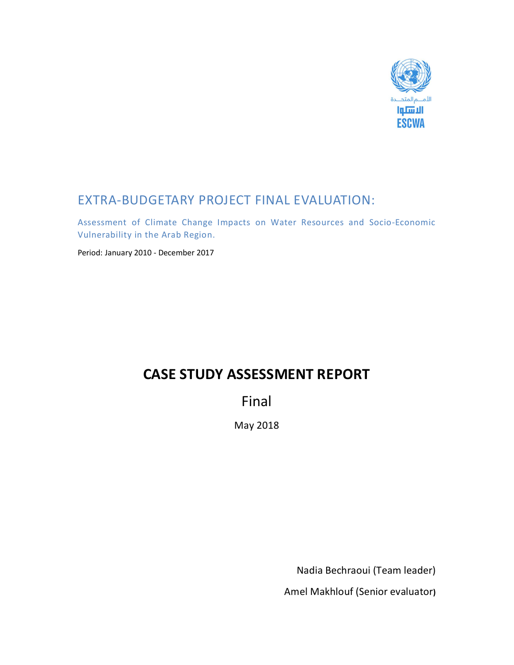

## EXTRA-BUDGETARY PROJECT FINAL EVALUATION:

Assessment of Climate Change Impacts on Water Resources and Socio-Economic Vulnerability in the Arab Region.

Period: January 2010 - December 2017

# **CASE STUDY ASSESSMENT REPORT**

Final

May 2018

Nadia Bechraoui (Team leader)

Amel Makhlouf (Senior evaluator**)**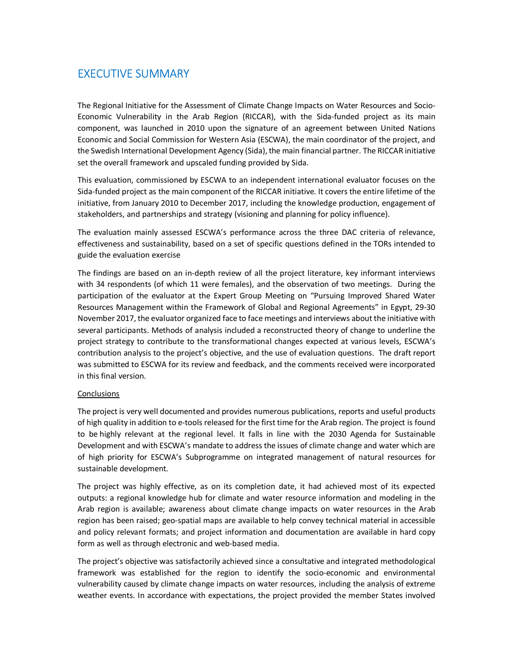### EXECUTIVE SUMMARY

The Regional Initiative for the Assessment of Climate Change Impacts on Water Resources and Socio-Economic Vulnerability in the Arab Region (RICCAR), with the Sida-funded project as its main component, was launched in 2010 upon the signature of an agreement between United Nations Economic and Social Commission for Western Asia (ESCWA), the main coordinator of the project, and the Swedish International Development Agency (Sida), the main financial partner. The RICCAR initiative set the overall framework and upscaled funding provided by Sida.

This evaluation, commissioned by ESCWA to an independent international evaluator focuses on the Sida-funded project as the main component of the RICCAR initiative. It covers the entire lifetime of the initiative, from January 2010 to December 2017, including the knowledge production, engagement of stakeholders, and partnerships and strategy (visioning and planning for policy influence).

The evaluation mainly assessed ESCWA's performance across the three DAC criteria of relevance, effectiveness and sustainability, based on a set of specific questions defined in the TORs intended to guide the evaluation exercise

The findings are based on an in-depth review of all the project literature, key informant interviews with 34 respondents (of which 11 were females), and the observation of two meetings. During the participation of the evaluator at the Expert Group Meeting on "Pursuing Improved Shared Water Resources Management within the Framework of Global and Regional Agreements" in Egypt, 29-30 November 2017, the evaluator organized face to face meetings and interviews about the initiative with several participants. Methods of analysis included a reconstructed theory of change to underline the project strategy to contribute to the transformational changes expected at various levels, ESCWA's contribution analysis to the project's objective, and the use of evaluation questions. The draft report was submitted to ESCWA for its review and feedback, and the comments received were incorporated in this final version.

#### **Conclusions**

The project is very well documented and provides numerous publications, reports and useful products of high quality in addition to e-tools released for the first time for the Arab region. The project is found to be highly relevant at the regional level. It falls in line with the 2030 Agenda for Sustainable Development and with ESCWA's mandate to address the issues of climate change and water which are of high priority for ESCWA's Subprogramme on integrated management of natural resources for sustainable development.

The project was highly effective, as on its completion date, it had achieved most of its expected outputs: a regional knowledge hub for climate and water resource information and modeling in the Arab region is available; awareness about climate change impacts on water resources in the Arab region has been raised; geo-spatial maps are available to help convey technical material in accessible and policy relevant formats; and project information and documentation are available in hard copy form as well as through electronic and web-based media.

The project's objective was satisfactorily achieved since a consultative and integrated methodological framework was established for the region to identify the socio-economic and environmental vulnerability caused by climate change impacts on water resources, including the analysis of extreme weather events. In accordance with expectations, the project provided the member States involved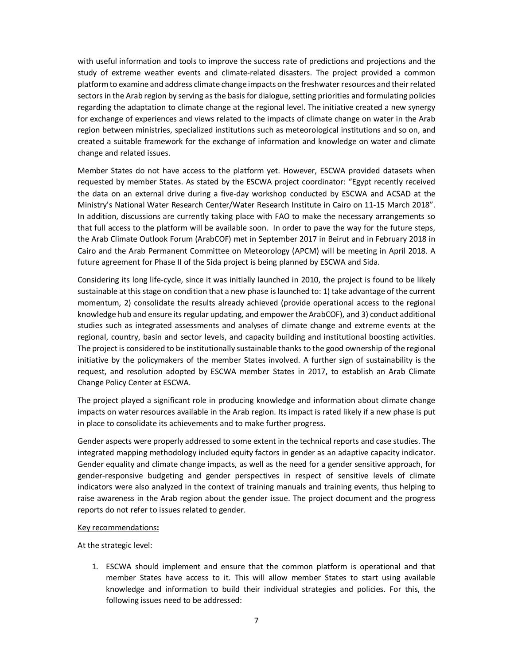with useful information and tools to improve the success rate of predictions and projections and the study of extreme weather events and climate-related disasters. The project provided a common platform to examine and address climate change impacts on the freshwater resources and their related sectors in the Arab region by serving as the basis for dialogue, setting priorities and formulating policies regarding the adaptation to climate change at the regional level. The initiative created a new synergy for exchange of experiences and views related to the impacts of climate change on water in the Arab region between ministries, specialized institutions such as meteorological institutions and so on, and created a suitable framework for the exchange of information and knowledge on water and climate change and related issues.

Member States do not have access to the platform yet. However, ESCWA provided datasets when requested by member States. As stated by the ESCWA project coordinator: "Egypt recently received the data on an external drive during a five-day workshop conducted by ESCWA and ACSAD at the Ministry's National Water Research Center/Water Research Institute in Cairo on 11-15 March 2018". In addition, discussions are currently taking place with FAO to make the necessary arrangements so that full access to the platform will be available soon. In order to pave the way for the future steps, the Arab Climate Outlook Forum (ArabCOF) met in September 2017 in Beirut and in February 2018 in Cairo and the Arab Permanent Committee on Meteorology (APCM) will be meeting in April 2018. A future agreement for Phase II of the Sida project is being planned by ESCWA and Sida.

Considering its long life-cycle, since it was initially launched in 2010, the project is found to be likely sustainable at this stage on condition that a new phase is launched to: 1) take advantage of the current momentum, 2) consolidate the results already achieved (provide operational access to the regional knowledge hub and ensure its regular updating, and empower the ArabCOF), and 3) conduct additional studies such as integrated assessments and analyses of climate change and extreme events at the regional, country, basin and sector levels, and capacity building and institutional boosting activities. The project is considered to be institutionally sustainable thanks to the good ownership of the regional initiative by the policymakers of the member States involved. A further sign of sustainability is the request, and resolution adopted by ESCWA member States in 2017, to establish an Arab Climate Change Policy Center at ESCWA.

The project played a significant role in producing knowledge and information about climate change impacts on water resources available in the Arab region. Its impact is rated likely if a new phase is put in place to consolidate its achievements and to make further progress.

Gender aspects were properly addressed to some extent in the technical reports and case studies. The integrated mapping methodology included equity factors in gender as an adaptive capacity indicator. Gender equality and climate change impacts, as well as the need for a gender sensitive approach, for gender-responsive budgeting and gender perspectives in respect of sensitive levels of climate indicators were also analyzed in the context of training manuals and training events, thus helping to raise awareness in the Arab region about the gender issue. The project document and the progress reports do not refer to issues related to gender.

#### Key recommendations**:**

At the strategic level:

1. ESCWA should implement and ensure that the common platform is operational and that member States have access to it. This will allow member States to start using available knowledge and information to build their individual strategies and policies. For this, the following issues need to be addressed: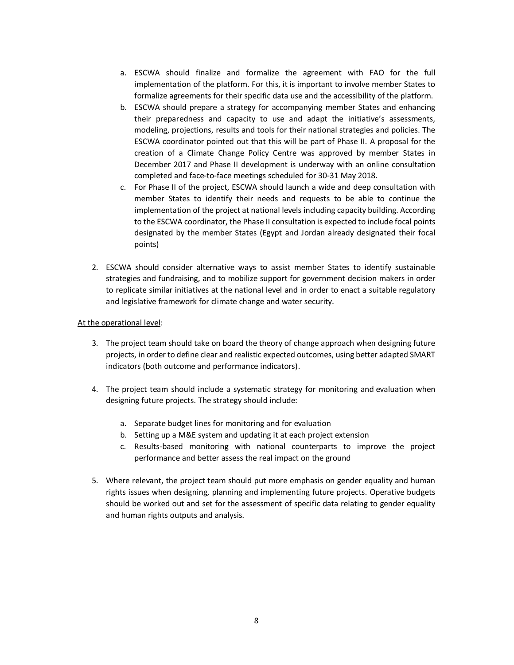- a. ESCWA should finalize and formalize the agreement with FAO for the full implementation of the platform. For this, it is important to involve member States to formalize agreements for their specific data use and the accessibility of the platform.
- b. ESCWA should prepare a strategy for accompanying member States and enhancing their preparedness and capacity to use and adapt the initiative's assessments, modeling, projections, results and tools for their national strategies and policies. The ESCWA coordinator pointed out that this will be part of Phase II. A proposal for the creation of a Climate Change Policy Centre was approved by member States in December 2017 and Phase II development is underway with an online consultation completed and face-to-face meetings scheduled for 30-31 May 2018.
- c. For Phase II of the project, ESCWA should launch a wide and deep consultation with member States to identify their needs and requests to be able to continue the implementation of the project at national levels including capacity building. According to the ESCWA coordinator, the Phase II consultation is expected to include focal points designated by the member States (Egypt and Jordan already designated their focal points)
- 2. ESCWA should consider alternative ways to assist member States to identify sustainable strategies and fundraising, and to mobilize support for government decision makers in order to replicate similar initiatives at the national level and in order to enact a suitable regulatory and legislative framework for climate change and water security.

#### At the operational level:

- 3. The project team should take on board the theory of change approach when designing future projects, in order to define clear and realistic expected outcomes, using better adapted SMART indicators (both outcome and performance indicators).
- 4. The project team should include a systematic strategy for monitoring and evaluation when designing future projects. The strategy should include:
	- a. Separate budget lines for monitoring and for evaluation
	- b. Setting up a M&E system and updating it at each project extension
	- c. Results-based monitoring with national counterparts to improve the project performance and better assess the real impact on the ground
- 5. Where relevant, the project team should put more emphasis on gender equality and human rights issues when designing, planning and implementing future projects. Operative budgets should be worked out and set for the assessment of specific data relating to gender equality and human rights outputs and analysis.